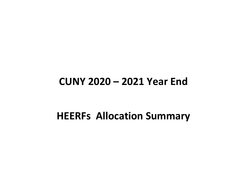## **CUNY 2020 – 2021 Year End**

## **HEERFs Allocation Summary**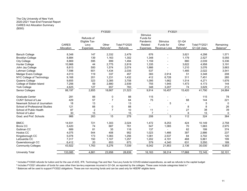## The City University of New York 2020-2021 Year-End Financial Report CARES Act Allocation Summary (\$000)

|                                       |                            | FY2020                                                 |                               |                         | FY2021                                                                 |                                              |                                          |                            |                                   |
|---------------------------------------|----------------------------|--------------------------------------------------------|-------------------------------|-------------------------|------------------------------------------------------------------------|----------------------------------------------|------------------------------------------|----------------------------|-----------------------------------|
|                                       | <b>CARES</b><br>Allocation | Refunds of<br>Eligible Tax-<br>Levy<br><b>Expenses</b> | Other<br>Refunds <sup>1</sup> | Total FY2020<br>Refunds | <b>Stimulus</b><br>Funds for<br>Pandemic<br>Related<br><b>Expenses</b> | Stimulus<br>Funds for<br><b>Revenue Loss</b> | $Q1-Q4$<br>Other<br>Refunds <sup>2</sup> | Total FY2021<br>Q1-Q4 Uses | Remaining<br>Balance <sup>3</sup> |
| <b>Baruch College</b>                 | 8,348                      | 147                                                    | 2,332                         | 2,479                   | 676                                                                    |                                              | 3,621                                    | 4,298                      | 1,571                             |
| <b>Brooklyn College</b>               | 8,884                      | 139                                                    | 1,163                         | 1,302                   | 1,348                                                                  |                                              | 1,179                                    | 2,527                      | 5,055                             |
| <b>City College</b>                   | 8,869                      | 595                                                    | 899                           | 1,494                   | 1,159                                                                  |                                              | 880                                      | 2,039                      | 5,336                             |
| <b>Hunter College</b>                 | 10,968                     | 44                                                     | 2,775                         | 2,819                   | 1,335                                                                  |                                              | 3,622                                    | 4,958                      | 3,191                             |
| John Jay College                      | 8,813                      | 500                                                    | 1,574                         | 2,074                   | 1,866                                                                  |                                              | 1,210                                    | 3,076                      | 3,663                             |
| Lehman College                        | 7,598                      | 601                                                    | 1,434                         | 2,035                   | 537                                                                    |                                              | 1,485                                    | 2,022                      | 3,541                             |
| Medgar Evers College                  | 4,013                      | 119                                                    | 337                           | 457                     | 383                                                                    | 2,914                                        | 51                                       | 3,348                      | 208                               |
| NYC College of Technology             | 9,168                      | 201                                                    | 1,231                         | 1,432                   | 412                                                                    | 6,728                                        | 311                                      | 7,451                      | 285                               |
| Queens College                        | 9,655                      | 323                                                    | 3,385                         | 3,708                   | 1,095                                                                  | 1,662                                        | 1,514                                    | 4,271                      | 1,676                             |
| College of Staten Island              | 7,256                      | 59                                                     | 2,880                         | 2,939                   | 755                                                                    | 1,945                                        | 1,473                                    | 4,173                      | 144                               |
| York College                          | 4,625                      | 127                                                    | 657                           | 783                     | 348                                                                    | 3,207                                        | 74                                       | 3,629                      | 213                               |
| <b>Senior Colleges</b>                | 88,197                     | 2,855                                                  | 18,667                        | 21,523                  | 9,914                                                                  | 16,457                                       | 15,420                                   | 41,790                     | 24,884                            |
| <b>Graduate Center</b>                | 281                        | 88                                                     | 0                             | 88                      | 115                                                                    |                                              |                                          | 115                        | 78                                |
| <b>CUNY School of Law</b>             | 429                        | 57                                                     | $\overline{7}$                | 64                      | 75                                                                     |                                              | 68                                       | 144                        | 221                               |
| Newmark School of Journalism          | 18                         | 13                                                     |                               | 13                      |                                                                        | 5                                            |                                          | 5                          | $\mathbf{0}$                      |
| <b>School of Professional Studies</b> | 121                        | 88                                                     | $\pmb{0}$                     | 88                      |                                                                        |                                              | 8                                        | 8                          | 26                                |
| School of Public Health               | 87                         | $\overline{c}$                                         | $\overline{7}$                | 10                      | 11                                                                     |                                              | 27                                       | 38                         | 39                                |
| School of Labor                       | 30                         | 15                                                     | ٠                             | 15                      | $\overline{7}$                                                         | $\blacksquare$                               | 8                                        | 15                         | 0                                 |
| Grad. and Prof. Schools               | 966                        | 263                                                    | 15                            | 278                     | 208                                                                    | 5                                            | $\frac{1}{12}$                           | 324                        | 364                               |
| <b>BMCC</b>                           | 14,931                     | 721                                                    | 1,303                         | 2,024                   | 1,472                                                                  | 8,253                                        | 424                                      | 10,149                     | 2,758                             |
| <b>Bronx CC</b>                       | 5,420                      | 74                                                     | 687                           | 761                     | 547                                                                    | 1,065                                        | 70                                       | 1,683                      | 2,975                             |
| Guttman CC                            | 689                        | 81                                                     | 35                            | 116                     | 137                                                                    |                                              | 62                                       | 199                        | 374                               |
| <b>Hostos CC</b>                      | 4,075                      | 544                                                    | 408                           | 952                     | 1,023                                                                  | 1,466                                        | 397                                      | 2,886                      | 237                               |
| Kingsborough CC                       | 5,078                      | 173                                                    | 1,083                         | 1,256                   | 1,081                                                                  | 2,537                                        | 84                                       | 3,702                      | 120                               |
| LaGuardia CC                          | 7,317                      | 150                                                    | 1,107                         | 1,257                   | 1,202                                                                  | 4,191                                        | 468                                      | 5,861                      | 199                               |
| Queensborough CC                      | 6,412                      | 20                                                     | 653                           | 673                     | 579                                                                    | 4,340                                        | 631                                      | 5,550                      | 189                               |
| <b>Community Colleges</b>             | 43,922                     | 1,763                                                  | 5,276                         | 7,039                   | 6,042                                                                  | 21,853                                       | 2,136                                    | 30,030                     | 6,853                             |
| <b>University Total</b>               | 133,085                    | 4,881                                                  | 23,958                        | 28,839                  | 16,163                                                                 | 38,314                                       | 17,668                                   | 72,145                     | 32,101                            |
|                                       |                            |                                                        |                               |                         |                                                                        |                                              |                                          |                            |                                   |

<sup>1</sup> Includes FY2020 refunds for tuition and for the use of ACE, IFR, Technology Fee and Non Tax-Levy funds for COVID-related expenditures, as well as refunds to the capital budget

<sup>2</sup> Includes FY2021 allocation of funds for uses other than tax-levy expenses incurred in Q1-Q4, as reported by the colleges. These uses include categories listed in <sup>1</sup>

<sup>3</sup> Balances will be used to support FY2022 obligations. These are non recurring funds and can be used only for HEERF eligible items